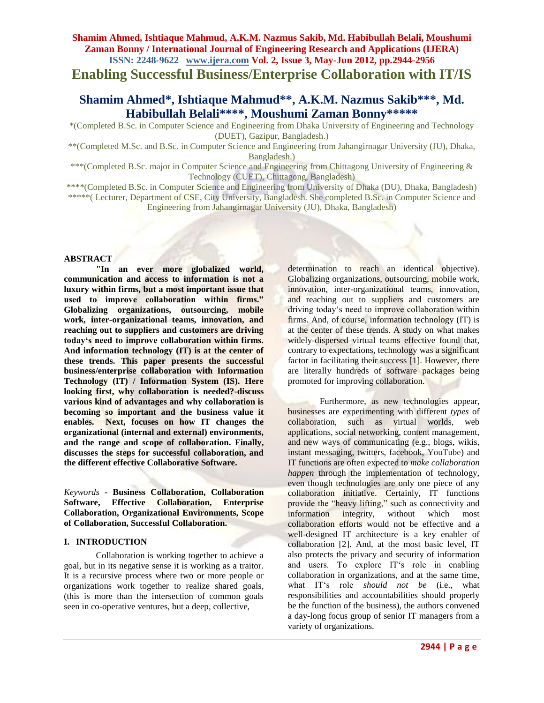**Enabling Successful Business/Enterprise Collaboration with IT/IS**

# **Shamim Ahmed\*, Ishtiaque Mahmud\*\*, A.K.M. Nazmus Sakib\*\*\*, Md. Habibullah Belali\*\*\*\*, Moushumi Zaman Bonny\*\*\*\*\***

\*(Completed B.Sc. in Computer Science and Engineering from Dhaka University of Engineering and Technology (DUET), Gazipur, Bangladesh.)

\*\*(Completed M.Sc. and B.Sc. in Computer Science and Engineering from Jahangirnagar University (JU), Dhaka, Bangladesh.)

\*\*\*(Completed B.Sc. major in Computer Science and Engineering from Chittagong University of Engineering & Technology (CUET), Chittagong, Bangladesh)

\*\*\*\*(Completed B.Sc. in Computer Science and Engineering from University of Dhaka (DU), Dhaka, Bangladesh) \*\*\*\*\*( Lecturer, Department of CSE, City University, Bangladesh. She completed B.Sc. in Computer Science and Engineering from Jahangirnagar University (JU), Dhaka, Bangladesh)

# **ABSTRACT**

**"In an ever more globalized world, communication and access to information is not a luxury within firms, but a most important issue that used to improve collaboration within firms." Globalizing organizations, outsourcing, mobile work, inter-organizational teams, innovation, and reaching out to suppliers and customers are driving today's need to improve collaboration within firms. And information technology (IT) is at the center of these trends. This paper presents the successful business/enterprise collaboration with Information Technology (IT) / Information System (IS). Here looking first, why collaboration is needed?-discuss various kind of advantages and why collaboration is becoming so important and the business value it enables. Next, focuses on how IT changes the organizational (internal and external) environments, and the range and scope of collaboration. Finally, discusses the steps for successful collaboration, and the different effective Collaborative Software.**

*Keywords* **- Business Collaboration, Collaboration Software, Effective Collaboration, Enterprise Collaboration, Organizational Environments, Scope of Collaboration, Successful Collaboration.**

# **I. INTRODUCTION**

Collaboration is working together to achieve a goal, but in its negative sense it is working as a traitor. It is a recursive process where two or more people or organizations work together to realize shared goals, (this is more than the intersection of common goals seen in co-operative ventures, but a deep, collective,

determination to reach an identical objective). Globalizing organizations, outsourcing, mobile work, innovation, inter-organizational teams, innovation, and reaching out to suppliers and customers are driving today's need to improve collaboration within firms. And, of course, information technology (IT) is at the center of these trends. A study on what makes widely-dispersed virtual teams effective found that, contrary to expectations, technology was a significant factor in facilitating their success [1]. However, there are literally hundreds of software packages being promoted for improving collaboration.

Furthermore, as new technologies appear, businesses are experimenting with different *types* of collaboration, such as virtual worlds, web applications, social networking, content management, and new ways of communicating (e.g., blogs, wikis, instant messaging, twitters, facebook, YouTube) and IT functions are often expected to *make collaboration happen* through the implementation of technology, even though technologies are only one piece of any collaboration initiative. Certainly, IT functions provide the "heavy lifting," such as connectivity and information integrity, without which most information integrity, without which most collaboration efforts would not be effective and a well-designed IT architecture is a key enabler of collaboration [2]. And, at the most basic level, IT also protects the privacy and security of information and users. To explore IT's role in enabling collaboration in organizations, and at the same time, what IT's role *should not be* (i.e., what responsibilities and accountabilities should properly be the function of the business), the authors convened a day-long focus group of senior IT managers from a variety of organizations.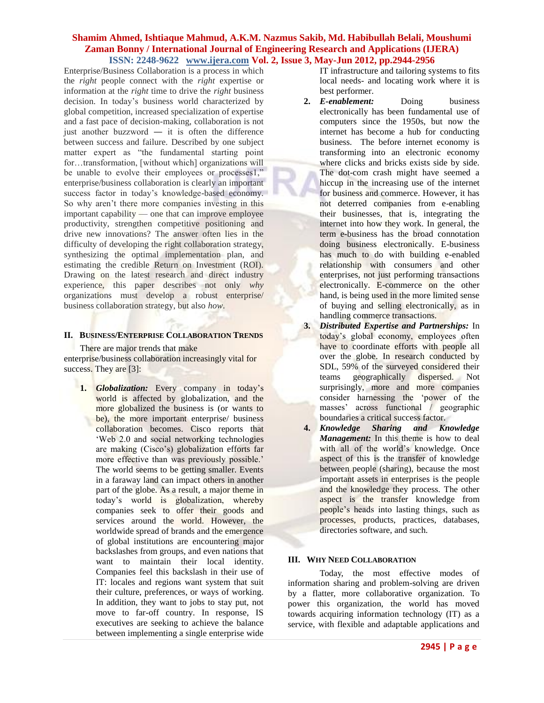Enterprise/Business Collaboration is a process in which the *right* people connect with the *right* expertise or information at the *right* time to drive the *right* business decision. In today's business world characterized by global competition, increased specialization of expertise and a fast pace of decision-making, collaboration is not just another buzzword ― it is often the difference between success and failure. Described by one subject matter expert as "the fundamental starting point for…transformation, [without which] organizations will be unable to evolve their employees or processes1," enterprise/business collaboration is clearly an important success factor in today's knowledge-based economy. So why aren't there more companies investing in this important capability — one that can improve employee productivity, strengthen competitive positioning and drive new innovations? The answer often lies in the difficulty of developing the right collaboration strategy, synthesizing the optimal implementation plan, and estimating the credible Return on Investment (ROI). Drawing on the latest research and direct industry experience, this paper describes not only *why*  organizations must develop a robust enterprise/ business collaboration strategy, but also *how*.

# **II. BUSINESS/ENTERPRISE COLLABORATION TRENDS**

There are major trends that make

enterprise/business collaboration increasingly vital for success. They are [3]:

**1.** *Globalization:* Every company in today's world is affected by globalization, and the more globalized the business is (or wants to be), the more important enterprise/ business collaboration becomes. Cisco reports that ‗Web 2.0 and social networking technologies are making (Cisco's) globalization efforts far more effective than was previously possible.' The world seems to be getting smaller. Events in a faraway land can impact others in another part of the globe. As a result, a major theme in today's world is globalization, whereby companies seek to offer their goods and services around the world. However, the worldwide spread of brands and the emergence of global institutions are encountering major backslashes from groups, and even nations that want to maintain their local identity. Companies feel this backslash in their use of IT: locales and regions want system that suit their culture, preferences, or ways of working. In addition, they want to jobs to stay put, not move to far-off country. In response, IS executives are seeking to achieve the balance between implementing a single enterprise wide

IT infrastructure and tailoring systems to fits local needs- and locating work where it is best performer.

- **2.** *E-enablement:* Doing business electronically has been fundamental use of computers since the 1950s, but now the internet has become a hub for conducting business. The before internet economy is transforming into an electronic economy where clicks and bricks exists side by side. The dot-com crash might have seemed a hiccup in the increasing use of the internet for business and commerce. However, it has not deterred companies from e-enabling their businesses, that is, integrating the internet into how they work. In general, the term e-business has the broad connotation doing business electronically. E-business has much to do with building e-enabled relationship with consumers and other enterprises, not just performing transactions electronically. E-commerce on the other hand, is being used in the more limited sense of buying and selling electronically, as in handling commerce transactions.
- **3.** *Distributed Expertise and Partnerships:* In today's global economy, employees often have to coordinate efforts with people all over the globe. In research conducted by SDL, 59% of the surveyed considered their teams geographically dispersed. Not surprisingly, more and more companies consider harnessing the 'power of the masses' across functional / geographic boundaries a critical success factor.
- **4.** *Knowledge Sharing and Knowledge Management:* In this theme is how to deal with all of the world's knowledge. Once aspect of this is the transfer of knowledge between people (sharing), because the most important assets in enterprises is the people and the knowledge they process. The other aspect is the transfer knowledge from people's heads into lasting things, such as processes, products, practices, databases, directories software, and such.

# **III. WHY NEED COLLABORATION**

Today, the most effective modes of information sharing and problem-solving are driven by a flatter, more collaborative organization. To power this organization, the world has moved towards acquiring information technology (IT) as a service, with flexible and adaptable applications and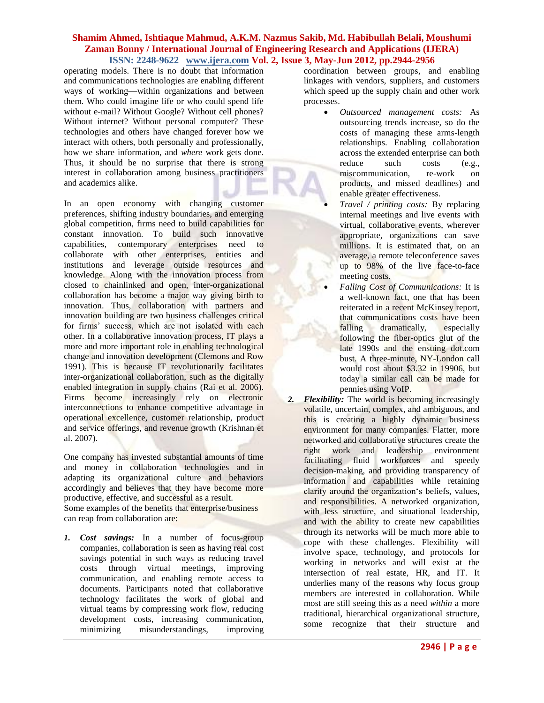operating models. There is no doubt that information and communications technologies are enabling different ways of working—within organizations and between them. Who could imagine life or who could spend life without e-mail? Without Google? Without cell phones? Without internet? Without personal computer? These technologies and others have changed forever how we interact with others, both personally and professionally, how we share information, and *where* work gets done. Thus, it should be no surprise that there is strong interest in collaboration among business practitioners and academics alike.

In an open economy with changing customer preferences, shifting industry boundaries, and emerging global competition, firms need to build capabilities for constant innovation. To build such innovative capabilities, contemporary enterprises need to collaborate with other enterprises, entities and institutions and leverage outside resources and knowledge. Along with the innovation process from closed to chainlinked and open, inter-organizational collaboration has become a major way giving birth to innovation. Thus, collaboration with partners and innovation building are two business challenges critical for firms' success, which are not isolated with each other. In a collaborative innovation process, IT plays a more and more important role in enabling technological change and innovation development (Clemons and Row 1991). This is because IT revolutionarily facilitates inter-organizational collaboration, such as the digitally enabled integration in supply chains (Rai et al. 2006). Firms become increasingly rely on electronic interconnections to enhance competitive advantage in operational excellence, customer relationship, product and service offerings, and revenue growth (Krishnan et al. 2007).

One company has invested substantial amounts of time and money in collaboration technologies and in adapting its organizational culture and behaviors accordingly and believes that they have become more productive, effective, and successful as a result. Some examples of the benefits that enterprise/business

can reap from collaboration are:

*1. Cost savings:* In a number of focus-group companies, collaboration is seen as having real cost savings potential in such ways as reducing travel costs through virtual meetings, improving communication, and enabling remote access to documents. Participants noted that collaborative technology facilitates the work of global and virtual teams by compressing work flow, reducing development costs, increasing communication, minimizing misunderstandings, improving coordination between groups, and enabling linkages with vendors, suppliers, and customers which speed up the supply chain and other work processes.

- *Outsourced management costs:* As outsourcing trends increase, so do the costs of managing these arms-length relationships. Enabling collaboration across the extended enterprise can both reduce such costs (e.g., miscommunication, re-work on products, and missed deadlines) and enable greater effectiveness.
- *Travel / printing costs:* By replacing internal meetings and live events with virtual, collaborative events, wherever appropriate, organizations can save millions. It is estimated that, on an average, a remote teleconference saves up to 98% of the live face-to-face meeting costs.
- *Falling Cost of Communications:* It is a well-known fact, one that has been reiterated in a recent McKinsey report, that communications costs have been falling dramatically, especially following the fiber-optics glut of the late 1990s and the ensuing dot.com bust. A three-minute, NY-London call would cost about \$3.32 in 19906, but today a similar call can be made for pennies using VoIP.
- *2. Flexibility:* The world is becoming increasingly volatile, uncertain, complex, and ambiguous, and this is creating a highly dynamic business environment for many companies. Flatter, more networked and collaborative structures create the right work and leadership environment facilitating fluid workforces and speedy decision-making, and providing transparency of information and capabilities while retaining clarity around the organization's beliefs, values, and responsibilities. A networked organization, with less structure, and situational leadership, and with the ability to create new capabilities through its networks will be much more able to cope with these challenges. Flexibility will involve space, technology, and protocols for working in networks and will exist at the intersection of real estate, HR, and IT. It underlies many of the reasons why focus group members are interested in collaboration. While most are still seeing this as a need *within* a more traditional, hierarchical organizational structure, some recognize that their structure and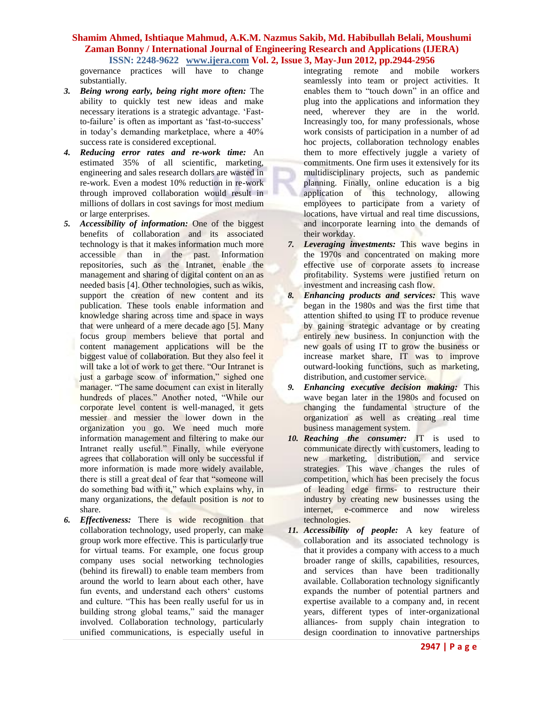governance practices will have to change substantially.

- *3. Being wrong early, being right more often:* The ability to quickly test new ideas and make necessary iterations is a strategic advantage. 'Fastto-failure' is often as important as 'fast-to-success' in today's demanding marketplace, where a 40% success rate is considered exceptional.
- *4. Reducing error rates and re-work time:* An estimated 35% of all scientific, marketing, engineering and sales research dollars are wasted in re-work. Even a modest 10% reduction in re-work through improved collaboration would result in millions of dollars in cost savings for most medium or large enterprises.
- *5. Accessibility of information:* One of the biggest benefits of collaboration and its associated technology is that it makes information much more accessible than in the past. Information repositories, such as the Intranet, enable the management and sharing of digital content on an as needed basis [4]. Other technologies, such as wikis, support the creation of new content and its publication. These tools enable information and knowledge sharing across time and space in ways that were unheard of a mere decade ago [5]. Many focus group members believe that portal and content management applications will be the biggest value of collaboration. But they also feel it will take a lot of work to get there. "Our Intranet is just a garbage scow of information," sighed one manager. "The same document can exist in literally hundreds of places." Another noted, "While our corporate level content is well-managed, it gets messier and messier the lower down in the organization you go. We need much more information management and filtering to make our Intranet really useful." Finally, while everyone agrees that collaboration will only be successful if more information is made more widely available, there is still a great deal of fear that "someone will do something bad with it," which explains why, in many organizations, the default position is *not* to share.
- *6. Effectiveness:* There is wide recognition that collaboration technology, used properly, can make group work more effective. This is particularly true for virtual teams. For example, one focus group company uses social networking technologies (behind its firewall) to enable team members from around the world to learn about each other, have fun events, and understand each others' customs and culture. "This has been really useful for us in building strong global teams," said the manager involved. Collaboration technology, particularly unified communications, is especially useful in

integrating remote and mobile workers seamlessly into team or project activities. It enables them to "touch down" in an office and plug into the applications and information they need, wherever they are in the world. Increasingly too, for many professionals, whose work consists of participation in a number of ad hoc projects, collaboration technology enables them to more effectively juggle a variety of commitments. One firm uses it extensively for its multidisciplinary projects, such as pandemic planning. Finally, online education is a big application of this technology, allowing employees to participate from a variety of locations, have virtual and real time discussions, and incorporate learning into the demands of their workday.

- *7. Leveraging investments:* This wave begins in the 1970s and concentrated on making more effective use of corporate assets to increase profitability. Systems were justified return on investment and increasing cash flow.
- *8. Enhancing products and services:* This wave began in the 1980s and was the first time that attention shifted to using IT to produce revenue by gaining strategic advantage or by creating entirely new business. In conjunction with the new goals of using IT to grow the business or increase market share, IT was to improve outward-looking functions, such as marketing, distribution, and customer service.
- *9. Enhancing executive decision making:* This wave began later in the 1980s and focused on changing the fundamental structure of the organization as well as creating real time business management system.
- *10. Reaching the consumer:* IT is used to communicate directly with customers, leading to new marketing, distribution, and service strategies. This wave changes the rules of competition, which has been precisely the focus of leading edge firms- to restructure their industry by creating new businesses using the internet, e-commerce and now wireless technologies.
- *11. Accessibility of people:* A key feature of collaboration and its associated technology is that it provides a company with access to a much broader range of skills, capabilities, resources, and services than have been traditionally available. Collaboration technology significantly expands the number of potential partners and expertise available to a company and, in recent years, different types of inter-organizational alliances- from supply chain integration to design coordination to innovative partnerships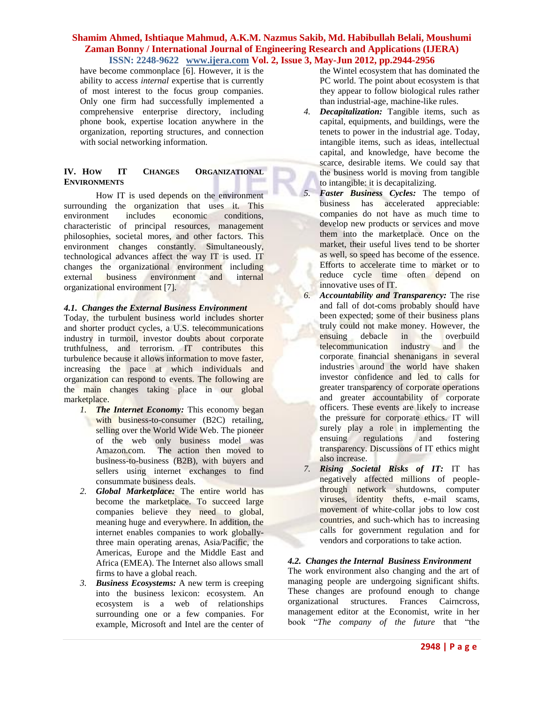have become commonplace [6]. However, it is the ability to access *internal* expertise that is currently of most interest to the focus group companies. Only one firm had successfully implemented a comprehensive enterprise directory, including phone book, expertise location anywhere in the organization, reporting structures, and connection with social networking information.

# **IV. HOW IT CHANGES ORGANIZATIONAL ENVIRONMENTS**

How IT is used depends on the environment surrounding the organization that uses it. This environment includes economic conditions, characteristic of principal resources, management philosophies, societal mores, and other factors. This environment changes constantly. Simultaneously, technological advances affect the way IT is used. IT changes the organizational environment including external business environment and internal organizational environment [7].

# *4.1. Changes the External Business Environment*

Today, the turbulent business world includes shorter and shorter product cycles, a U.S. telecommunications industry in turmoil, investor doubts about corporate truthfulness, and terrorism. IT contributes this turbulence because it allows information to move faster, increasing the pace at which individuals and organization can respond to events. The following are the main changes taking place in our global marketplace.

- *1. The Internet Economy:* This economy began with business-to-consumer (B2C) retailing, selling over the World Wide Web. The pioneer of the web only business model was Amazon.com. The action then moved to business-to-business (B2B), with buyers and sellers using internet exchanges to find consummate business deals.
- *2. Global Marketplace:* The entire world has become the marketplace. To succeed large companies believe they need to global, meaning huge and everywhere. In addition, the internet enables companies to work globallythree main operating arenas, Asia/Pacific, the Americas, Europe and the Middle East and Africa (EMEA). The Internet also allows small firms to have a global reach.
- *3. Business Ecosystems:* A new term is creeping into the business lexicon: ecosystem. An ecosystem is a web of relationships surrounding one or a few companies. For example, Microsoft and Intel are the center of

the Wintel ecosystem that has dominated the PC world. The point about ecosystem is that they appear to follow biological rules rather than industrial-age, machine-like rules.

- *4. Decapitalization:* Tangible items, such as capital, equipments, and buildings, were the tenets to power in the industrial age. Today, intangible items, such as ideas, intellectual capital, and knowledge, have become the scarce, desirable items. We could say that the business world is moving from tangible to intangible: it is decapitalizing.
- *5. Faster Business Cycles:* The tempo of business has accelerated appreciable: companies do not have as much time to develop new products or services and move them into the marketplace. Once on the market, their useful lives tend to be shorter as well, so speed has become of the essence. Efforts to accelerate time to market or to reduce cycle time often depend on innovative uses of IT.
- *6. Accountability and Transparency:* The rise and fall of dot-coms probably should have been expected; some of their business plans truly could not make money. However, the ensuing debacle in the overbuild telecommunication industry and the corporate financial shenanigans in several industries around the world have shaken investor confidence and led to calls for greater transparency of corporate operations and greater accountability of corporate officers. These events are likely to increase the pressure for corporate ethics. IT will surely play a role in implementing the ensuing regulations and fostering transparency. Discussions of IT ethics might also increase.
- *7. Rising Societal Risks of IT:* IT has negatively affected millions of peoplethrough network shutdowns, computer viruses, identity thefts, e-mail scams, movement of white-collar jobs to low cost countries, and such-which has to increasing calls for government regulation and for vendors and corporations to take action.

# *4.2. Changes the Internal Business Environment*

The work environment also changing and the art of managing people are undergoing significant shifts. These changes are profound enough to change organizational structures. Frances Cairncross, management editor at the Economist, write in her book "The company of the future that "the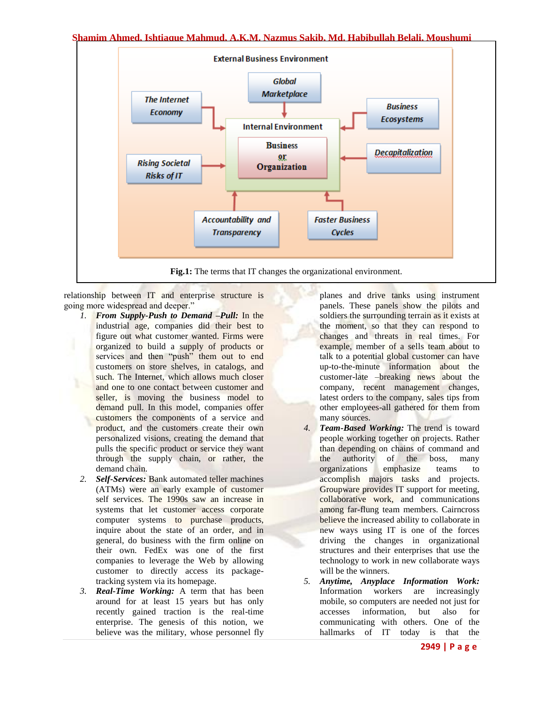

relationship between IT and enterprise structure is going more widespread and deeper."

- *1. From Supply-Push to Demand –Pull:* In the industrial age, companies did their best to figure out what customer wanted. Firms were organized to build a supply of products or services and then "push" them out to end customers on store shelves, in catalogs, and such. The Internet, which allows much closer and one to one contact between customer and seller, is moving the business model to demand pull. In this model, companies offer customers the components of a service and product, and the customers create their own personalized visions, creating the demand that pulls the specific product or service they want through the supply chain, or rather, the demand chain.
- *2. Self-Services:* Bank automated teller machines (ATMs) were an early example of customer self services. The 1990s saw an increase in systems that let customer access corporate computer systems to purchase products, inquire about the state of an order, and in general, do business with the firm online on their own. FedEx was one of the first companies to leverage the Web by allowing customer to directly access its packagetracking system via its homepage.
- *3. Real-Time Working:* A term that has been around for at least 15 years but has only recently gained traction is the real-time enterprise. The genesis of this notion, we believe was the military, whose personnel fly

planes and drive tanks using instrument panels. These panels show the pilots and soldiers the surrounding terrain as it exists at the moment, so that they can respond to changes and threats in real times. For example, member of a sells team about to talk to a potential global customer can have up-to-the-minute information about the customer-late –breaking news about the company, recent management changes, latest orders to the company, sales tips from other employees-all gathered for them from many sources.

- *4. Team-Based Working:* The trend is toward people working together on projects. Rather than depending on chains of command and the authority of the boss, many organizations emphasize teams to accomplish majors tasks and projects. Groupware provides IT support for meeting, collaborative work, and communications among far-flung team members. Cairncross believe the increased ability to collaborate in new ways using IT is one of the forces driving the changes in organizational structures and their enterprises that use the technology to work in new collaborate ways will be the winners.
- *5. Anytime, Anyplace Information Work:* Information workers are increasingly mobile, so computers are needed not just for accesses information, but also for communicating with others. One of the hallmarks of IT today is that the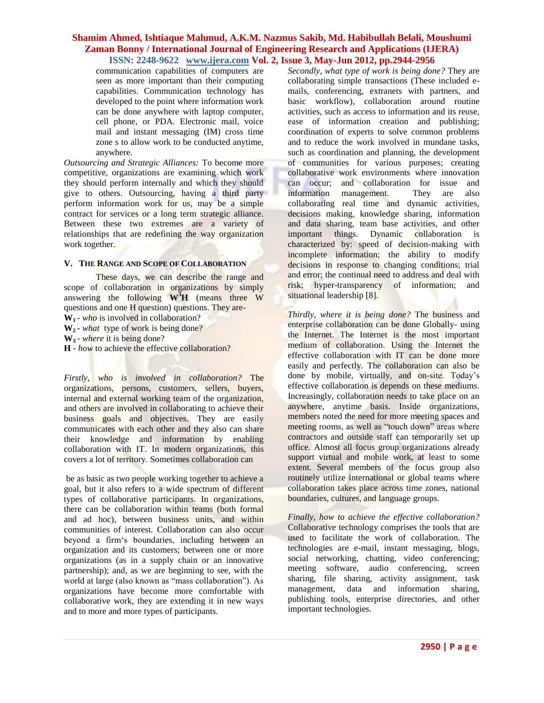communication capabilities of computers are seen as more important than their computing capabilities. Communication technology has developed to the point where information work can be done anywhere with laptop computer, cell phone, or PDA. Electronic mail, voice mail and instant messaging (IM) cross time zone s to allow work to be conducted anytime, anywhere.

*Outsourcing and Strategic Alliances:* To become more competitive, organizations are examining which work they should perform internally and which they should give to others. Outsourcing, having a third party perform information work for us, may be a simple contract for services or a long term strategic alliance. Between these two extremes are a variety of relationships that are redefining the way organization work together.

# **V. THE RANGE AND SCOPE OF COLLABORATION**

These days, we can describe the range and scope of collaboration in organizations by simply answering the following  $W^3H$  (means three W questions and one H question) questions. They are-**W<sup>1</sup>** - *who* is involved in collaboration? **W<sup>2</sup>** - *what* type of work is being done?

**W<sup>3</sup>** - *where* it is being done?

**H** - *how* to achieve the effective collaboration?

*Firstly*, *who is involved in collaboration?* The organizations, persons, customers, sellers, buyers, internal and external working team of the organization, and others are involved in collaborating to achieve their business goals and objectives. They are easily communicates with each other and they also can share their knowledge and information by enabling collaboration with IT. In modern organizations, this covers a lot of territory. Sometimes collaboration can

be as basic as two people working together to achieve a goal, but it also refers to a wide spectrum of different types of collaborative participants. In organizations, there can be collaboration within teams (both formal and ad hoc), between business units, and within communities of interest. Collaboration can also occur beyond a firm's boundaries, including between an organization and its customers; between one or more organizations (as in a supply chain or an innovative partnership); and, as we are beginning to see, with the world at large (also known as "mass collaboration"). As organizations have become more comfortable with collaborative work, they are extending it in new ways and to more and more types of participants.

*Secondly, what type of work is being done?* They are collaborating simple transactions (These included emails, conferencing, extranets with partners, and basic workflow), collaboration around routine activities, such as access to information and its reuse, ease of information creation and publishing; coordination of experts to solve common problems and to reduce the work involved in mundane tasks, such as coordination and planning, the development of communities for various purposes; creating collaborative work environments where innovation can occur; and collaboration for issue and information management. They are also collaborating real time and dynamic activities, decisions making, knowledge sharing, information and data sharing, team base activities, and other important things. Dynamic collaboration is characterized by: speed of decision-making with incomplete information; the ability to modify decisions in response to changing conditions; trial and error; the continual need to address and deal with risk; hyper-transparency of information; and situational leadership [8].

*Thirdly, where it is being done?* The business and enterprise collaboration can be done Globally- using the Internet. The Internet is the most important medium of collaboration. Using the Internet the effective collaboration with IT can be done more easily and perfectly. The collaboration can also be done by mobile, virtually, and on-site. Today's effective collaboration is depends on these mediums. Increasingly, collaboration needs to take place on an anywhere, anytime basis. Inside organizations, members noted the need for more meeting spaces and meeting rooms, as well as "touch down" areas where contractors and outside staff can temporarily set up office. Almost all focus group organizations already support virtual and mobile work, at least to some extent. Several members of the focus group also routinely utilize international or global teams where collaboration takes place across time zones, national boundaries, cultures, and language groups.

*Finally, how to achieve the effective collaboration?* Collaborative technology comprises the tools that are used to facilitate the work of collaboration. The technologies are e-mail, instant messaging, blogs, social networking, chatting, video conferencing; meeting software, audio conferencing, screen sharing, file sharing, activity assignment, task management, data and information sharing, publishing tools, enterprise directories, and other important technologies.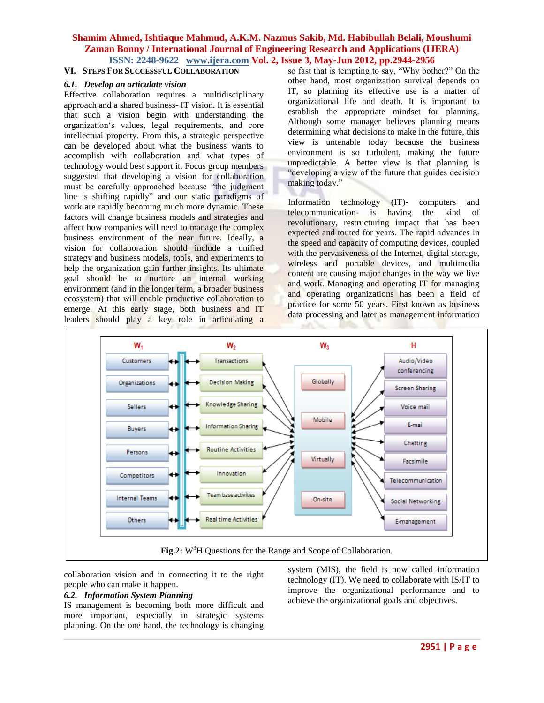# **VI. STEPS FOR SUCCESSFUL COLLABORATION**

# *6.1. Develop an articulate vision*

Effective collaboration requires a multidisciplinary approach and a shared business- IT vision. It is essential that such a vision begin with understanding the organization‗s values, legal requirements, and core intellectual property. From this, a strategic perspective can be developed about what the business wants to accomplish with collaboration and what types of technology would best support it. Focus group members suggested that developing a vision for collaboration must be carefully approached because "the judgment" line is shifting rapidly" and our static paradigms of work are rapidly becoming much more dynamic. These factors will change business models and strategies and affect how companies will need to manage the complex business environment of the near future. Ideally, a vision for collaboration should include a unified strategy and business models, tools, and experiments to help the organization gain further insights. Its ultimate goal should be to nurture an internal working environment (and in the longer term, a broader business ecosystem) that will enable productive collaboration to emerge. At this early stage, both business and IT leaders should play a key role in articulating a

so fast that is tempting to say, "Why bother?" On the other hand, most organization survival depends on IT, so planning its effective use is a matter of organizational life and death. It is important to establish the appropriate mindset for planning. Although some manager believes planning means determining what decisions to make in the future, this view is untenable today because the business environment is so turbulent, making the future unpredictable. A better view is that planning is ―developing a view of the future that guides decision making today."

Information technology (IT)- computers and telecommunication- is having the kind of revolutionary, restructuring impact that has been expected and touted for years. The rapid advances in the speed and capacity of computing devices, coupled with the pervasiveness of the Internet, digital storage, wireless and portable devices, and multimedia content are causing major changes in the way we live and work. Managing and operating IT for managing and operating organizations has been a field of practice for some 50 years. First known as business data processing and later as management information



collaboration vision and in connecting it to the right people who can make it happen.

# *6.2. Information System Planning*

IS management is becoming both more difficult and more important, especially in strategic systems planning. On the one hand, the technology is changing system (MIS), the field is now called information technology (IT). We need to collaborate with IS/IT to improve the organizational performance and to achieve the organizational goals and objectives.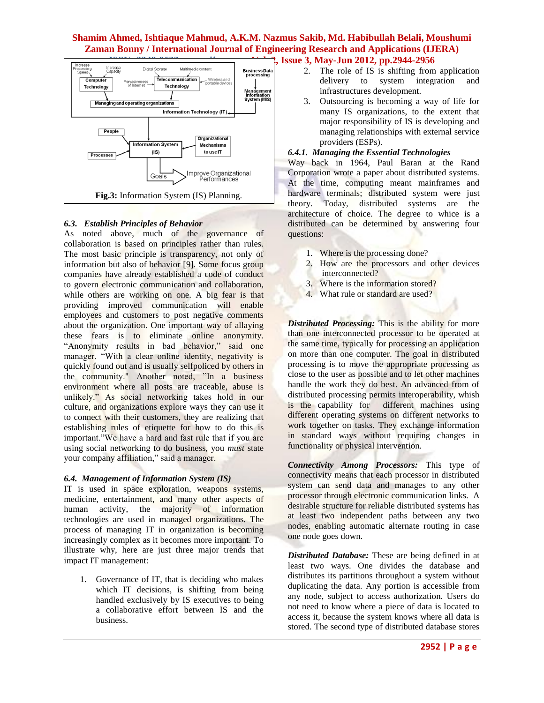# **Shamim Ahmed, Ishtiaque Mahmud, A.K.M. Nazmus Sakib, Md. Habibullah Belali, Moushumi Zaman Bonny / International Journal of Engineering Research and Applications (IJERA)**



# *6.3. Establish Principles of Behavior*

As noted above, much of the governance of collaboration is based on principles rather than rules. The most basic principle is transparency, not only of information but also of behavior [9]. Some focus group companies have already established a code of conduct to govern electronic communication and collaboration, while others are working on one. A big fear is that providing improved communication will enable employees and customers to post negative comments about the organization. One important way of allaying these fears is to eliminate online anonymity. "Anonymity results in bad behavior," said one manager. "With a clear online identity, negativity is quickly found out and is usually selfpoliced by others in the community." Another noted, "In a business environment where all posts are traceable, abuse is unlikely." As social networking takes hold in our culture, and organizations explore ways they can use it to connect with their customers, they are realizing that establishing rules of etiquette for how to do this is important."We have a hard and fast rule that if you are using social networking to do business, you *must* state your company affiliation," said a manager.

# *6.4. Management of Information System (IS)*

IT is used in space exploration, weapons systems, medicine, entertainment, and many other aspects of human activity, the majority of information technologies are used in managed organizations. The process of managing IT in organization is becoming increasingly complex as it becomes more important. To illustrate why, here are just three major trends that impact IT management:

1. Governance of IT, that is deciding who makes which IT decisions, is shifting from being handled exclusively by IS executives to being a collaborative effort between IS and the business.

- 2. The role of IS is shifting from application delivery to system integration and infrastructures development.
- 3. Outsourcing is becoming a way of life for many IS organizations, to the extent that major responsibility of IS is developing and managing relationships with external service providers (ESPs).

# *6.4.1. Managing the Essential Technologies*

Way back in 1964, Paul Baran at the Rand Corporation wrote a paper about distributed systems. At the time, computing meant mainframes and hardware terminals; distributed system were just theory. Today, distributed systems are the architecture of choice. The degree to whice is a distributed can be determined by answering four questions:

- 1. Where is the processing done?
- 2. How are the processors and other devices interconnected?
- 3. Where is the information stored?
- 4. What rule or standard are used?

*Distributed Processing:* This is the ability for more than one interconnected processor to be operated at the same time, typically for processing an application on more than one computer. The goal in distributed processing is to move the appropriate processing as close to the user as possible and to let other machines handle the work they do best. An advanced from of distributed processing permits interoperability, whish is the capability for different machines using different operating systems on different networks to work together on tasks. They exchange information in standard ways without requiring changes in functionality or physical intervention.

*Connectivity Among Processors:* This type of connectivity means that each processor in distributed system can send data and manages to any other processor through electronic communication links. A desirable structure for reliable distributed systems has at least two independent paths between any two nodes, enabling automatic alternate routing in case one node goes down.

*Distributed Database:* These are being defined in at least two ways. One divides the database and distributes its partitions throughout a system without duplicating the data. Any portion is accessible from any node, subject to access authorization. Users do not need to know where a piece of data is located to access it, because the system knows where all data is stored. The second type of distributed database stores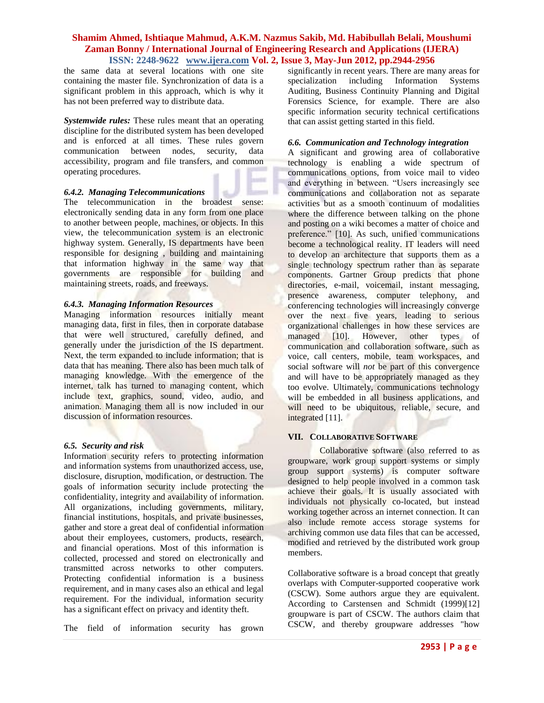the same data at several locations with one site containing the master file. Synchronization of data is a significant problem in this approach, which is why it has not been preferred way to distribute data.

*Systemwide rules:* These rules meant that an operating discipline for the distributed system has been developed and is enforced at all times. These rules govern communication between nodes, security, data accessibility, program and file transfers, and common operating procedures. m

# *6.4.2. Managing Telecommunications*

The telecommunication in the broadest sense: electronically sending data in any form from one place to another between people, machines, or objects. In this view, the telecommunication system is an electronic highway system. Generally, IS departments have been responsible for designing , building and maintaining that information highway in the same way that governments are responsible for building and maintaining streets, roads, and freeways.

# *6.4.3. Managing Information Resources*

Managing information resources initially meant managing data, first in files, then in corporate database that were well structured, carefully defined, and generally under the jurisdiction of the IS department. Next, the term expanded to include information; that is data that has meaning. There also has been much talk of managing knowledge. With the emergence of the internet, talk has turned to managing content, which include text, graphics, sound, video, audio, and animation. Managing them all is now included in our discussion of information resources.

# *6.5. Security and risk*

Information security refers to protecting information and information systems from unauthorized access, use, disclosure, disruption, modification, or destruction. The goals of information security include protecting the confidentiality, integrity and availability of information. All organizations, including governments, military, financial institutions, hospitals, and private businesses, gather and store a great deal of confidential information about their employees, customers, products, research, and financial operations. Most of this information is collected, processed and stored on electronically and transmitted across networks to other computers. Protecting confidential information is a business requirement, and in many cases also an ethical and legal requirement. For the individual, information security has a significant effect on privacy and identity theft.

The field of information security has grown

significantly in recent years. There are many areas for specialization including Information Systems Auditing, Business Continuity Planning and Digital Forensics Science, for example. There are also specific information security technical certifications that can assist getting started in this field.

# *6.6. Communication and Technology integration*

A significant and growing area of collaborative technology is enabling a wide spectrum of communications options, from voice mail to video and everything in between. "Users increasingly see communications and collaboration not as separate activities but as a smooth continuum of modalities where the difference between talking on the phone and posting on a wiki becomes a matter of choice and preference." [10]. As such, unified communications become a technological reality. IT leaders will need to develop an architecture that supports them as a single technology spectrum rather than as separate components. Gartner Group predicts that phone directories, e-mail, voicemail, instant messaging, presence awareness, computer telephony, and conferencing technologies will increasingly converge over the next five years, leading to serious organizational challenges in how these services are managed [10]. However, other types of communication and collaboration software, such as voice, call centers, mobile, team workspaces, and social software will *not* be part of this convergence and will have to be appropriately managed as they too evolve. Ultimately, communications technology will be embedded in all business applications, and will need to be ubiquitous, reliable, secure, and integrated [11].

# **VII. COLLABORATIVE SOFTWARE**

Collaborative software (also referred to as groupware, work group support systems or simply group support systems) is computer software designed to help people involved in a common task achieve their goals. It is usually associated with individuals not physically co-located, but instead working together across an internet connection. It can also include remote access storage systems for archiving common use data files that can be accessed, modified and retrieved by the distributed work group members.

Collaborative software is a broad concept that greatly overlaps with Computer-supported cooperative work (CSCW). Some authors argue they are equivalent. According to Carstensen and Schmidt (1999)[12] groupware is part of CSCW. The authors claim that CSCW, and thereby groupware addresses "how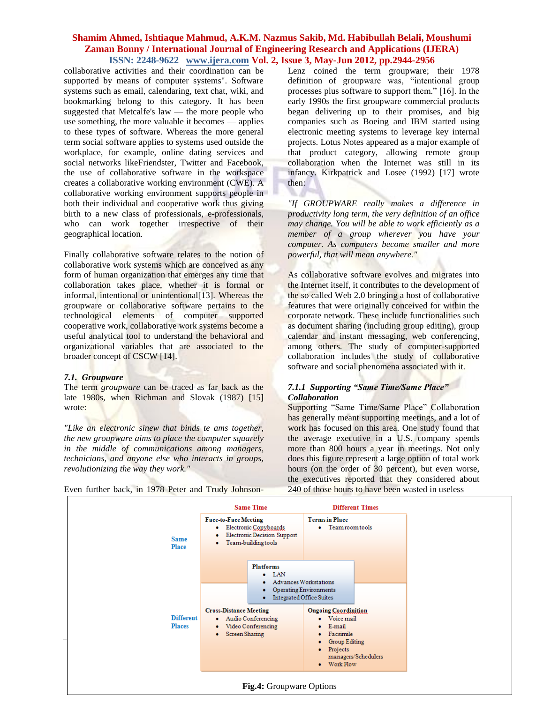collaborative activities and their coordination can be supported by means of computer systems". Software systems such as email, calendaring, text chat, wiki, and bookmarking belong to this category. It has been suggested that Metcalfe's law — the more people who use something, the more valuable it becomes — applies to these types of software. Whereas the more general term social software applies to systems used outside the workplace, for example, online dating services and social networks likeFriendster, Twitter and Facebook, the use of collaborative software in the workspace creates a collaborative working environment (CWE). A collaborative working environment supports people in both their individual and cooperative work thus giving birth to a new class of professionals, e-professionals, who can work together irrespective of their geographical location.

Finally collaborative software relates to the notion of collaborative work systems which are conceived as any form of human organization that emerges any time that collaboration takes place, whether it is formal or informal, intentional or unintentional[13]. Whereas the groupware or collaborative software pertains to the technological elements of computer supported cooperative work, collaborative work systems become a useful analytical tool to understand the behavioral and organizational variables that are associated to the broader concept of CSCW [14].

# *7.1. Groupware*

The term *groupware* can be traced as far back as the late 1980s, when Richman and Slovak (1987) [15] wrote:

*"Like an electronic sinew that binds te ams together, the new groupware aims to place the computer squarely in the middle of communications among managers, technicians, and anyone else who interacts in groups, revolutionizing the way they work."*

Lenz coined the term groupware; their 1978 definition of groupware was, "intentional group processes plus software to support them." [16]. In the early 1990s the first groupware commercial products began delivering up to their promises, and big companies such as Boeing and IBM started using electronic meeting systems to leverage key internal projects. Lotus Notes appeared as a major example of that product category, allowing remote group collaboration when the Internet was still in its infancy. Kirkpatrick and Losee (1992) [17] wrote then:

*"If GROUPWARE really makes a difference in productivity long term, the very definition of an office may change. You will be able to work efficiently as a member of a group wherever you have your computer. As computers become smaller and more powerful, that will mean anywhere."*

As collaborative software evolves and migrates into the Internet itself, it contributes to the development of the so called Web 2.0 bringing a host of collaborative features that were originally conceived for within the corporate network. These include functionalities such as document sharing (including group editing), group calendar and instant messaging, web conferencing, among others. The study of computer-supported collaboration includes the study of collaborative software and social phenomena associated with it.

# *7.1.1 Supporting "Same Time/Same Place" Collaboration*

Supporting "Same Time/Same Place" Collaboration has generally meant supporting meetings, and a lot of work has focused on this area. One study found that the average executive in a U.S. company spends more than 800 hours a year in meetings. Not only does this figure represent a large option of total work hours (on the order of 30 percent), but even worse, the executives reported that they considered about 240 of those hours to have been wasted in useless



Even further back, in 1978 Peter and Trudy Johnson-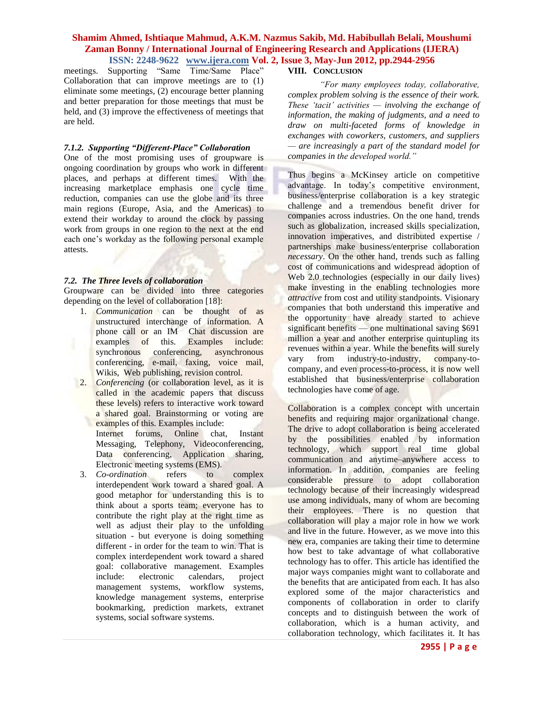meetings. Supporting "Same Time/Same Place" Collaboration that can improve meetings are to (1) eliminate some meetings, (2) encourage better planning and better preparation for those meetings that must be held, and (3) improve the effectiveness of meetings that are held.

# *7.1.2. Supporting "Different-Place" Collaboration*

One of the most promising uses of groupware is ongoing coordination by groups who work in different places, and perhaps at different times. With the increasing marketplace emphasis one cycle time reduction, companies can use the globe and its three main regions (Europe, Asia, and the Americas) to extend their workday to around the clock by passing work from groups in one region to the next at the end each one's workday as the following personal example attests.

# *7.2. The Three levels of collaboration*

Groupware can be divided into three categories depending on the level of collaboration [18]:

- 1. *Communication* can be thought of as unstructured interchange of information. A phone call or an IM Chat discussion are examples of this. Examples include: synchronous conferencing, asynchronous conferencing, e-mail, faxing, voice mail, Wikis. Web publishing, revision control.
- 2. *Conferencing* (or collaboration level, as it is called in the academic papers that discuss these levels) refers to interactive work toward a shared goal. Brainstorming or voting are examples of this. Examples include:
	- Internet forums, Online chat, Instant Messaging, Telephony, Videoconferencing, Data conferencing, Application sharing, Electronic meeting systems (EMS).
- 3. *Co-ordination* refers to complex interdependent work toward a shared goal. A good metaphor for understanding this is to think about a sports team; everyone has to contribute the right play at the right time as well as adjust their play to the unfolding situation - but everyone is doing something different - in order for the team to win. That is complex interdependent work toward a shared goal: collaborative management. Examples include: electronic calendars, project management systems, workflow systems, knowledge management systems, enterprise bookmarking, prediction markets, extranet systems, social software systems.

# **VIII. CONCLUSION**

*"For many employees today, collaborative, complex problem solving is the essence of their work. These "tacit" activities — involving the exchange of information, the making of judgments, and a need to draw on multi-faceted forms of knowledge in exchanges with coworkers, customers, and suppliers — are increasingly a part of the standard model for companies in the developed world."*

Thus begins a McKinsey article on competitive advantage. In today's competitive environment, business/enterprise collaboration is a key strategic challenge and a tremendous benefit driver for companies across industries. On the one hand, trends such as globalization, increased skills specialization, innovation imperatives, and distributed expertise / partnerships make business/enterprise collaboration *necessary*. On the other hand, trends such as falling cost of communications and widespread adoption of Web 2.0 technologies (especially in our daily lives) make investing in the enabling technologies more *attractive* from cost and utility standpoints. Visionary companies that both understand this imperative and the opportunity have already started to achieve significant benefits — one multinational saving \$691 million a year and another enterprise quintupling its revenues within a year. While the benefits will surely vary from industry-to-industry, company-tocompany, and even process-to-process, it is now well established that business/enterprise collaboration technologies have come of age.

Collaboration is a complex concept with uncertain benefits and requiring major organizational change. The drive to adopt collaboration is being accelerated by the possibilities enabled by information technology, which support real time global communication and anytime–anywhere access to information. In addition, companies are feeling considerable pressure to adopt collaboration technology because of their increasingly widespread use among individuals, many of whom are becoming their employees. There is no question that collaboration will play a major role in how we work and live in the future. However, as we move into this new era, companies are taking their time to determine how best to take advantage of what collaborative technology has to offer. This article has identified the major ways companies might want to collaborate and the benefits that are anticipated from each. It has also explored some of the major characteristics and components of collaboration in order to clarify concepts and to distinguish between the work of collaboration, which is a human activity, and collaboration technology, which facilitates it. It has